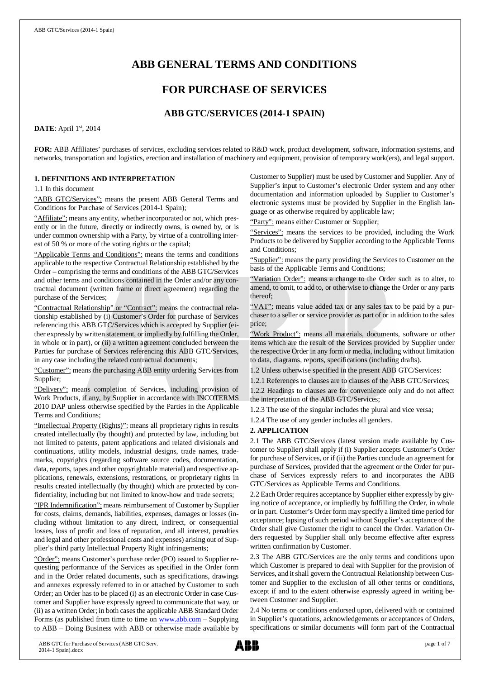# **ABB GENERAL TERMS AND CONDITIONS**

# **FOR PURCHASE OF SERVICES**

# **ABB GTC/SERVICES (2014-1 SPAIN)**

## **DATE**: April 1st, 2014

**FOR:** ABB Affiliates' purchases of services, excluding services related to R&D work, product development, software, information systems, and networks, transportation and logistics, erection and installation of machinery and equipment, provision of temporary work(ers), and legal support.

## **1. DEFINITIONS AND INTERPRETATION**

1.1 In this document

"ABB GTC/Services": means the present ABB General Terms and Conditions for Purchase of Services (2014-1 Spain);

"Affiliate": means any entity, whether incorporated or not, which presently or in the future, directly or indirectly owns, is owned by, or is under common ownership with a Party, by virtue of a controlling interest of 50 % or more of the voting rights or the capital;

"Applicable Terms and Conditions": means the terms and conditions applicable to the respective Contractual Relationship established by the Order – comprising the terms and conditions of the ABB GTC/Services and other terms and conditions contained in the Order and/or any contractual document (written frame or direct agreement) regarding the purchase of the Services;

"Contractual Relationship" or "Contract": means the contractual relationship established by (i) Customer's Order for purchase of Services referencing this ABB GTC/Services which is accepted by Supplier (either expressly by written statement, or impliedly by fulfilling the Order, in whole or in part), or (ii) a written agreement concluded between the Parties for purchase of Services referencing this ABB GTC/Services, in any case including the related contractual documents;

"Customer": means the purchasing ABB entity ordering Services from Supplier;

"Delivery": means completion of Services, including provision of Work Products, if any, by Supplier in accordance with INCOTERMS 2010 DAP unless otherwise specified by the Parties in the Applicable Terms and Conditions;

"Intellectual Property (Rights)": means all proprietary rights in results created intellectually (by thought) and protected by law, including but not limited to patents, patent applications and related divisionals and continuations, utility models, industrial designs, trade names, trademarks, copyrights (regarding software source codes, documentation, data, reports, tapes and other copyrightable material) and respective applications, renewals, extensions, restorations, or proprietary rights in results created intellectually (by thought) which are protected by confidentiality, including but not limited to know-how and trade secrets;

"IPR Indemnification": means reimbursement of Customer by Supplier for costs, claims, demands, liabilities, expenses, damages or losses (including without limitation to any direct, indirect, or consequential losses, loss of profit and loss of reputation, and all interest, penalties and legal and other professional costs and expenses) arising out of Supplier's third party Intellectual Property Right infringements;

"Order": means Customer's purchase order (PO) issued to Supplier requesting performance of the Services as specified in the Order form and in the Order related documents, such as specifications, drawings and annexes expressly referred to in or attached by Customer to such Order; an Order has to be placed (i) as an electronic Order in case Customer and Supplier have expressly agreed to communicate that way, or (ii) as a written Order; in both cases the applicable ABB Standard Order Forms (as published from time to time on [www.abb.com](http://www.abb.com/) - Supplying to ABB – Doing Business with ABB or otherwise made available by

Customer to Supplier) must be used by Customer and Supplier. Any of Supplier's input to Customer's electronic Order system and any other documentation and information uploaded by Supplier to Customer's electronic systems must be provided by Supplier in the English language or as otherwise required by applicable law;

"Party": means either Customer or Supplier;

"Services": means the services to be provided, including the Work Products to be delivered by Supplier according to the Applicable Terms and Conditions;

"Supplier": means the party providing the Services to Customer on the basis of the Applicable Terms and Conditions;

"Variation Order": means a change to the Order such as to alter, to amend, to omit, to add to, or otherwise to change the Order or any parts thereof;

"VAT": means value added tax or any sales tax to be paid by a purchaser to a seller or service provider as part of or in addition to the sales price;

"Work Product": means all materials, documents, software or other items which are the result of the Services provided by Supplier under the respective Order in any form or media, including without limitation to data, diagrams, reports, specifications (including drafts).

1.2 Unless otherwise specified in the present ABB GTC/Services:

1.2.1 References to clauses are to clauses of the ABB GTC/Services; 1.2.2 Headings to clauses are for convenience only and do not affect the interpretation of the ABB GTC/Services;

1.2.3 The use of the singular includes the plural and vice versa;

1.2.4 The use of any gender includes all genders.

#### **2. APPLICATION**

2.1 The ABB GTC/Services (latest version made available by Customer to Supplier) shall apply if (i) Supplier accepts Customer's Order for purchase of Services, or if (ii) the Parties conclude an agreement for purchase of Services, provided that the agreement or the Order for purchase of Services expressly refers to and incorporates the ABB GTC/Services as Applicable Terms and Conditions.

2.2 Each Order requires acceptance by Supplier either expressly by giving notice of acceptance, or impliedly by fulfilling the Order, in whole or in part. Customer's Order form may specify a limited time period for acceptance; lapsing of such period without Supplier's acceptance of the Order shall give Customer the right to cancel the Order. Variation Orders requested by Supplier shall only become effective after express written confirmation by Customer.

2.3 The ABB GTC/Services are the only terms and conditions upon which Customer is prepared to deal with Supplier for the provision of Services, and it shall govern the Contractual Relationship between Customer and Supplier to the exclusion of all other terms or conditions, except if and to the extent otherwise expressly agreed in writing between Customer and Supplier.

2.4 No terms or conditions endorsed upon, delivered with or contained in Supplier's quotations, acknowledgements or acceptances of Orders, specifications or similar documents will form part of the Contractual

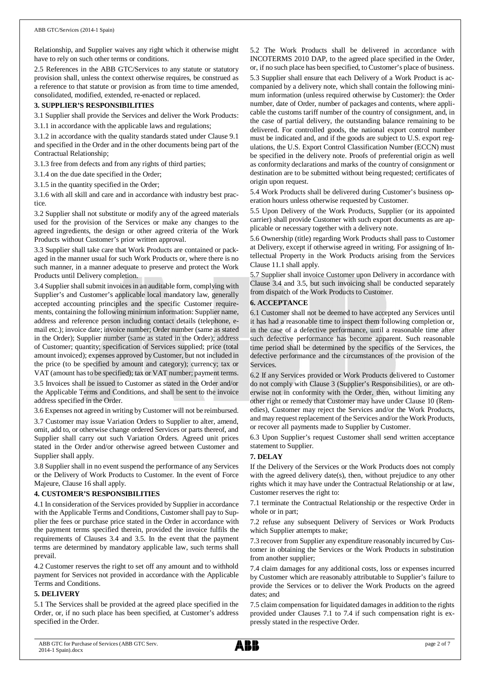Relationship, and Supplier waives any right which it otherwise might have to rely on such other terms or conditions.

2.5 References in the ABB GTC/Services to any statute or statutory provision shall, unless the context otherwise requires, be construed as a reference to that statute or provision as from time to time amended, consolidated, modified, extended, re-enacted or replaced.

## **3. SUPPLIER'S RESPONSIBILITIES**

3.1 Supplier shall provide the Services and deliver the Work Products:

3.1.1 in accordance with the applicable laws and regulations;

3.1.2 in accordance with the quality standards stated under Clause 9.1 and specified in the Order and in the other documents being part of the Contractual Relationship;

3.1.3 free from defects and from any rights of third parties;

3.1.4 on the due date specified in the Order;

3.1.5 in the quantity specified in the Order;

3.1.6 with all skill and care and in accordance with industry best practice.

3.2 Supplier shall not substitute or modify any of the agreed materials used for the provision of the Services or make any changes to the agreed ingredients, the design or other agreed criteria of the Work Products without Customer's prior written approval.

3.3 Supplier shall take care that Work Products are contained or packaged in the manner usual for such Work Products or, where there is no such manner, in a manner adequate to preserve and protect the Work Products until Delivery completion.

3.4 Supplier shall submit invoices in an auditable form, complying with Supplier's and Customer's applicable local mandatory law, generally accepted accounting principles and the specific Customer requirements, containing the following minimum information: Supplier name, address and reference person including contact details (telephone, email etc.); invoice date; invoice number; Order number (same as stated in the Order); Supplier number (same as stated in the Order); address of Customer; quantity; specification of Services supplied; price (total amount invoiced); expenses approved by Customer, but not included in the price (to be specified by amount and category); currency; tax or VAT (amount has to be specified); tax or VAT number; payment terms. 3.5 Invoices shall be issued to Customer as stated in the Order and/or

the Applicable Terms and Conditions, and shall be sent to the invoice address specified in the Order.

3.6 Expenses not agreed in writing by Customer will not be reimbursed.

3.7 Customer may issue Variation Orders to Supplier to alter, amend, omit, add to, or otherwise change ordered Services or parts thereof, and Supplier shall carry out such Variation Orders. Agreed unit prices stated in the Order and/or otherwise agreed between Customer and Supplier shall apply.

3.8 Supplier shall in no event suspend the performance of any Services or the Delivery of Work Products to Customer. In the event of Force Majeure, Clause 16 shall apply.

#### **4. CUSTOMER'S RESPONSIBILITIES**

4.1 In consideration of the Services provided by Supplier in accordance with the Applicable Terms and Conditions, Customer shall pay to Supplier the fees or purchase price stated in the Order in accordance with the payment terms specified therein, provided the invoice fulfils the requirements of Clauses 3.4 and 3.5. In the event that the payment terms are determined by mandatory applicable law, such terms shall prevail.

4.2 Customer reserves the right to set off any amount and to withhold payment for Services not provided in accordance with the Applicable Terms and Conditions.

#### **5. DELIVERY**

5.1 The Services shall be provided at the agreed place specified in the Order, or, if no such place has been specified, at Customer's address specified in the Order.

5.2 The Work Products shall be delivered in accordance with INCOTERMS 2010 DAP, to the agreed place specified in the Order, or, if no such place has been specified, to Customer's place of business. 5.3 Supplier shall ensure that each Delivery of a Work Product is accompanied by a delivery note, which shall contain the following minimum information (unless required otherwise by Customer): the Order number, date of Order, number of packages and contents, where applicable the customs tariff number of the country of consignment, and, in the case of partial delivery, the outstanding balance remaining to be delivered. For controlled goods, the national export control number must be indicated and, and if the goods are subject to U.S. export regulations, the U.S. Export Control Classification Number (ECCN) must be specified in the delivery note. Proofs of preferential origin as well as conformity declarations and marks of the country of consignment or destination are to be submitted without being requested; certificates of origin upon request.

5.4 Work Products shall be delivered during Customer's business operation hours unless otherwise requested by Customer.

5.5 Upon Delivery of the Work Products, Supplier (or its appointed carrier) shall provide Customer with such export documents as are applicable or necessary together with a delivery note.

5.6 Ownership (title) regarding Work Products shall pass to Customer at Delivery, except if otherwise agreed in writing. For assigning of Intellectual Property in the Work Products arising from the Services Clause 11.1 shall apply.

5.7 Supplier shall invoice Customer upon Delivery in accordance with Clause 3.4 and 3.5, but such invoicing shall be conducted separately from dispatch of the Work Products to Customer.

## **6. ACCEPTANCE**

6.1 Customer shall not be deemed to have accepted any Services until it has had a reasonable time to inspect them following completion or, in the case of a defective performance, until a reasonable time after such defective performance has become apparent. Such reasonable time period shall be determined by the specifics of the Services, the defective performance and the circumstances of the provision of the Services.

6.2 If any Services provided or Work Products delivered to Customer do not comply with Clause 3 (Supplier's Responsibilities), or are otherwise not in conformity with the Order, then, without limiting any other right or remedy that Customer may have under Clause 10 (Remedies), Customer may reject the Services and/or the Work Products, and may request replacement of the Services and/or the Work Products, or recover all payments made to Supplier by Customer.

6.3 Upon Supplier's request Customer shall send written acceptance statement to Supplier.

## **7. DELAY**

If the Delivery of the Services or the Work Products does not comply with the agreed delivery date(s), then, without prejudice to any other rights which it may have under the Contractual Relationship or at law, Customer reserves the right to:

7.1 terminate the Contractual Relationship or the respective Order in whole or in part;

7.2 refuse any subsequent Delivery of Services or Work Products which Supplier attempts to make;

7.3 recover from Supplier any expenditure reasonably incurred by Customer in obtaining the Services or the Work Products in substitution from another supplier;

7.4 claim damages for any additional costs, loss or expenses incurred by Customer which are reasonably attributable to Supplier's failure to provide the Services or to deliver the Work Products on the agreed dates; and

7.5 claim compensation for liquidated damages in addition to the rights provided under Clauses 7.1 to 7.4 if such compensation right is expressly stated in the respective Order.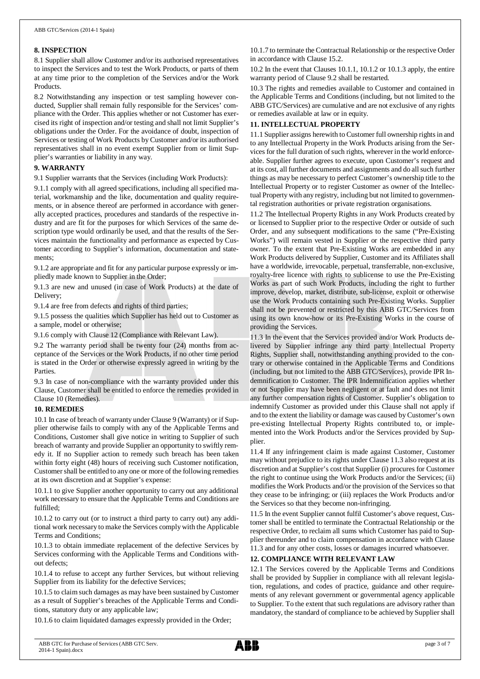## **8. INSPECTION**

8.1 Supplier shall allow Customer and/or its authorised representatives to inspect the Services and to test the Work Products, or parts of them at any time prior to the completion of the Services and/or the Work Products.

8.2 Notwithstanding any inspection or test sampling however conducted, Supplier shall remain fully responsible for the Services' compliance with the Order. This applies whether or not Customer has exercised its right of inspection and/or testing and shall not limit Supplier's obligations under the Order. For the avoidance of doubt, inspection of Services or testing of Work Products by Customer and/or its authorised representatives shall in no event exempt Supplier from or limit Supplier's warranties or liability in any way.

## **9. WARRANTY**

9.1 Supplier warrants that the Services (including Work Products):

9.1.1 comply with all agreed specifications, including all specified material, workmanship and the like, documentation and quality requirements, or in absence thereof are performed in accordance with generally accepted practices, procedures and standards of the respective industry and are fit for the purposes for which Services of the same description type would ordinarily be used, and that the results of the Services maintain the functionality and performance as expected by Customer according to Supplier's information, documentation and statements;

9.1.2 are appropriate and fit for any particular purpose expressly or impliedly made known to Supplier in the Order;

9.1.3 are new and unused (in case of Work Products) at the date of Delivery;

9.1.4 are free from defects and rights of third parties;

9.1.5 possess the qualities which Supplier has held out to Customer as a sample, model or otherwise;

9.1.6 comply with Clause 12 (Compliance with Relevant Law).

9.2 The warranty period shall be twenty four (24) months from acceptance of the Services or the Work Products, if no other time period is stated in the Order or otherwise expressly agreed in writing by the Parties.

9.3 In case of non-compliance with the warranty provided under this Clause, Customer shall be entitled to enforce the remedies provided in Clause 10 (Remedies).

#### **10. REMEDIES**

10.1 In case of breach of warranty under Clause 9 (Warranty) or if Supplier otherwise fails to comply with any of the Applicable Terms and Conditions, Customer shall give notice in writing to Supplier of such breach of warranty and provide Supplier an opportunity to swiftly remedy it. If no Supplier action to remedy such breach has been taken within forty eight (48) hours of receiving such Customer notification, Customer shall be entitled to any one or more of the following remedies at its own discretion and at Supplier's expense:

10.1.1 to give Supplier another opportunity to carry out any additional work necessary to ensure that the Applicable Terms and Conditions are fulfilled;

10.1.2 to carry out (or to instruct a third party to carry out) any additional work necessary to make the Services comply with the Applicable Terms and Conditions;

10.1.3 to obtain immediate replacement of the defective Services by Services conforming with the Applicable Terms and Conditions without defects;

10.1.4 to refuse to accept any further Services, but without relieving Supplier from its liability for the defective Services:

10.1.5 to claim such damages as may have been sustained by Customer as a result of Supplier's breaches of the Applicable Terms and Conditions, statutory duty or any applicable law;

10.1.6 to claim liquidated damages expressly provided in the Order;

10.1.7 to terminate the Contractual Relationship or the respective Order in accordance with Clause 15.2.

10.2 In the event that Clauses 10.1.1, 10.1.2 or 10.1.3 apply, the entire warranty period of Clause 9.2 shall be restarted.

10.3 The rights and remedies available to Customer and contained in the Applicable Terms and Conditions (including, but not limited to the ABB GTC/Services) are cumulative and are not exclusive of any rights or remedies available at law or in equity.

## **11. INTELLECTUAL PROPERTY**

11.1 Supplier assigns herewith to Customer full ownership rights in and to any Intellectual Property in the Work Products arising from the Services for the full duration of such rights, wherever in the world enforceable. Supplier further agrees to execute, upon Customer's request and at its cost, all further documents and assignments and do all such further things as may be necessary to perfect Customer's ownership title to the Intellectual Property or to register Customer as owner of the Intellectual Property with any registry, including but not limited to governmental registration authorities or private registration organisations.

11.2 The Intellectual Property Rights in any Work Products created by or licensed to Supplier prior to the respective Order or outside of such Order, and any subsequent modifications to the same ("Pre-Existing Works") will remain vested in Supplier or the respective third party owner. To the extent that Pre-Existing Works are embedded in any Work Products delivered by Supplier, Customer and its Affiliates shall have a worldwide, irrevocable, perpetual, transferrable, non-exclusive, royalty-free licence with rights to sublicense to use the Pre-Existing Works as part of such Work Products, including the right to further improve, develop, market, distribute, sub-license, exploit or otherwise use the Work Products containing such Pre-Existing Works. Supplier shall not be prevented or restricted by this ABB GTC/Services from using its own know-how or its Pre-Existing Works in the course of providing the Services.

11.3 In the event that the Services provided and/or Work Products delivered by Supplier infringe any third party Intellectual Property Rights, Supplier shall, notwithstanding anything provided to the contrary or otherwise contained in the Applicable Terms and Conditions (including, but not limited to the ABB GTC/Services), provide IPR Indemnification to Customer. The IPR Indemnification applies whether or not Supplier may have been negligent or at fault and does not limit any further compensation rights of Customer. Supplier's obligation to indemnify Customer as provided under this Clause shall not apply if and to the extent the liability or damage was caused by Customer's own pre-existing Intellectual Property Rights contributed to, or implemented into the Work Products and/or the Services provided by Supplier.

11.4 If any infringement claim is made against Customer, Customer may without prejudice to its rights under Clause 11.3 also request at its discretion and at Supplier's cost that Supplier (i) procures for Customer the right to continue using the Work Products and/or the Services; (ii) modifies the Work Products and/or the provision of the Services so that they cease to be infringing; or (iii) replaces the Work Products and/or the Services so that they become non-infringing.

11.5 In the event Supplier cannot fulfil Customer's above request, Customer shall be entitled to terminate the Contractual Relationship or the respective Order, to reclaim all sums which Customer has paid to Supplier thereunder and to claim compensation in accordance with Clause 11.3 and for any other costs, losses or damages incurred whatsoever.

## **12. COMPLIANCE WITH RELEVANT LAW**

12.1 The Services covered by the Applicable Terms and Conditions shall be provided by Supplier in compliance with all relevant legislation, regulations, and codes of practice, guidance and other requirements of any relevant government or governmental agency applicable to Supplier. To the extent that such regulations are advisory rather than mandatory, the standard of compliance to be achieved by Supplier shall

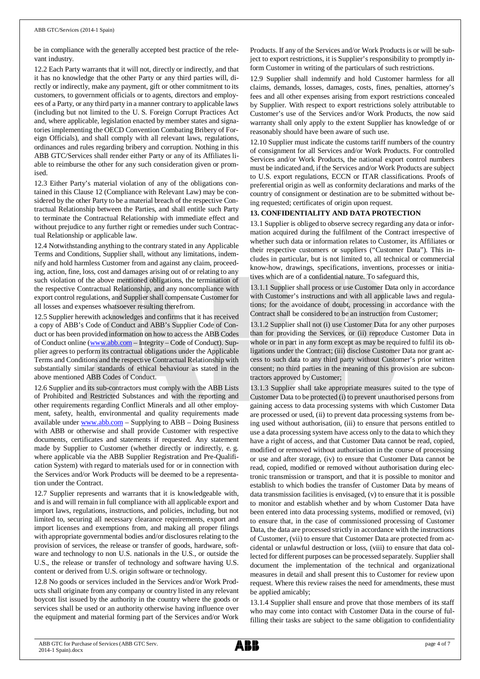be in compliance with the generally accepted best practice of the relevant industry.

12.2 Each Party warrants that it will not, directly or indirectly, and that it has no knowledge that the other Party or any third parties will, directly or indirectly, make any payment, gift or other commitment to its customers, to government officials or to agents, directors and employees of a Party, or any third party in a manner contrary to applicable laws (including but not limited to the U. S. Foreign Corrupt Practices Act and, where applicable, legislation enacted by member states and signatories implementing the OECD Convention Combating Bribery of Foreign Officials), and shall comply with all relevant laws, regulations, ordinances and rules regarding bribery and corruption. Nothing in this ABB GTC/Services shall render either Party or any of its Affiliates liable to reimburse the other for any such consideration given or promised.

12.3 Either Party's material violation of any of the obligations contained in this Clause 12 (Compliance with Relevant Law) may be considered by the other Party to be a material breach of the respective Contractual Relationship between the Parties, and shall entitle such Party to terminate the Contractual Relationship with immediate effect and without prejudice to any further right or remedies under such Contractual Relationship or applicable law.

12.4 Notwithstanding anything to the contrary stated in any Applicable Terms and Conditions, Supplier shall, without any limitations, indemnify and hold harmless Customer from and against any claim, proceeding, action, fine, loss, cost and damages arising out of or relating to any such violation of the above mentioned obligations, the termination of the respective Contractual Relationship, and any noncompliance with export control regulations, and Supplier shall compensate Customer for all losses and expenses whatsoever resulting therefrom.

12.5 Supplier herewith acknowledges and confirms that it has received a copy of ABB's Code of Conduct and ABB's Supplier Code of Conduct or has been provided information on how to access the ABB Codes of Conduct online ([www.abb.com](http://www.abb.com/) – Integrity – Code of Conduct). Supplier agrees to perform its contractual obligations under the Applicable Terms and Conditions and the respective Contractual Relationship with substantially similar standards of ethical behaviour as stated in the above mentioned ABB Codes of Conduct.

12.6 Supplier and its sub-contractors must comply with the ABB Lists of Prohibited and Restricted Substances and with the reporting and other requirements regarding Conflict Minerals and all other employment, safety, health, environmental and quality requirements made available under [www.abb.com](http://www.abb.com/) – Supplying to ABB – Doing Business with ABB or otherwise and shall provide Customer with respective documents, certificates and statements if requested. Any statement made by Supplier to Customer (whether directly or indirectly, e. g. where applicable via the ABB Supplier Registration and Pre-Qualification System) with regard to materials used for or in connection with the Services and/or Work Products will be deemed to be a representation under the Contract.

12.7 Supplier represents and warrants that it is knowledgeable with, and is and will remain in full compliance with all applicable export and import laws, regulations, instructions, and policies, including, but not limited to, securing all necessary clearance requirements, export and import licenses and exemptions from, and making all proper filings with appropriate governmental bodies and/or disclosures relating to the provision of services, the release or transfer of goods, hardware, software and technology to non U.S. nationals in the U.S., or outside the U.S., the release or transfer of technology and software having U.S. content or derived from U.S. origin software or technology.

12.8 No goods or services included in the Services and/or Work Products shall originate from any company or country listed in any relevant boycott list issued by the authority in the country where the goods or services shall be used or an authority otherwise having influence over the equipment and material forming part of the Services and/or Work

Products. If any of the Services and/or Work Products is or will be subject to export restrictions, it is Supplier's responsibility to promptly inform Customer in writing of the particulars of such restrictions.

12.9 Supplier shall indemnify and hold Customer harmless for all claims, demands, losses, damages, costs, fines, penalties, attorney's fees and all other expenses arising from export restrictions concealed by Supplier. With respect to export restrictions solely attributable to Customer's use of the Services and/or Work Products, the now said warranty shall only apply to the extent Supplier has knowledge of or reasonably should have been aware of such use.

12.10 Supplier must indicate the customs tariff numbers of the country of consignment for all Services and/or Work Products. For controlled Services and/or Work Products, the national export control numbers must be indicated and, if the Services and/or Work Products are subject to U.S. export regulations, ECCN or ITAR classifications. Proofs of preferential origin as well as conformity declarations and marks of the country of consignment or destination are to be submitted without being requested; certificates of origin upon request.

## **13. CONFIDENTIALITY AND DATA PROTECTION**

13.1 Supplier is obliged to observe secrecy regarding any data or information acquired during the fulfilment of the Contract irrespective of whether such data or information relates to Customer, its Affiliates or their respective customers or suppliers ("Customer Data"). This includes in particular, but is not limited to, all technical or commercial know-how, drawings, specifications, inventions, processes or initiatives which are of a confidential nature. To safeguard this,

13.1.1 Supplier shall process or use Customer Data only in accordance with Customer's instructions and with all applicable laws and regulations; for the avoidance of doubt, processing in accordance with the Contract shall be considered to be an instruction from Customer;

13.1.2 Supplier shall not (i) use Customer Data for any other purposes than for providing the Services, or (ii) reproduce Customer Data in whole or in part in any form except as may be required to fulfil its obligations under the Contract; (iii) disclose Customer Data nor grant access to such data to any third party without Customer's prior written consent; no third parties in the meaning of this provision are subcontractors approved by Customer;

13.1.3 Supplier shall take appropriate measures suited to the type of Customer Data to be protected (i) to prevent unauthorised persons from gaining access to data processing systems with which Customer Data are processed or used, (ii) to prevent data processing systems from being used without authorisation, (iii) to ensure that persons entitled to use a data processing system have access only to the data to which they have a right of access, and that Customer Data cannot be read, copied, modified or removed without authorisation in the course of processing or use and after storage, (iv) to ensure that Customer Data cannot be read, copied, modified or removed without authorisation during electronic transmission or transport, and that it is possible to monitor and establish to which bodies the transfer of Customer Data by means of data transmission facilities is envisaged, (v) to ensure that it is possible to monitor and establish whether and by whom Customer Data have been entered into data processing systems, modified or removed, (vi) to ensure that, in the case of commissioned processing of Customer Data, the data are processed strictly in accordance with the instructions of Customer, (vii) to ensure that Customer Data are protected from accidental or unlawful destruction or loss, (viii) to ensure that data collected for different purposes can be processed separately. Supplier shall document the implementation of the technical and organizational measures in detail and shall present this to Customer for review upon request. Where this review raises the need for amendments, these must be applied amicably;

13.1.4 Supplier shall ensure and prove that those members of its staff who may come into contact with Customer Data in the course of fulfilling their tasks are subject to the same obligation to confidentiality

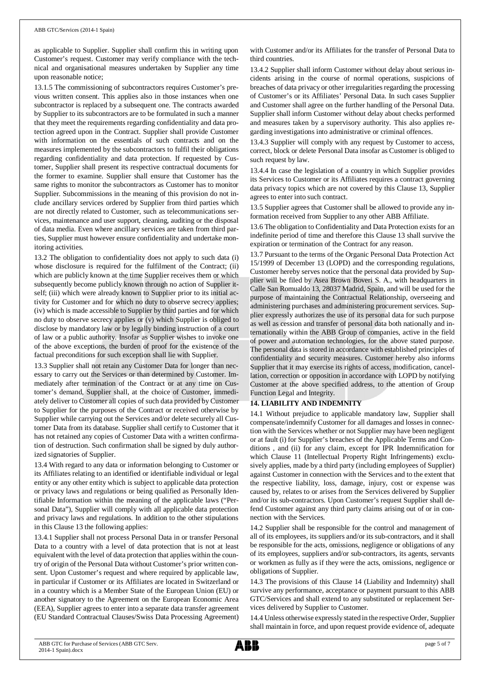as applicable to Supplier. Supplier shall confirm this in writing upon Customer's request. Customer may verify compliance with the technical and organisational measures undertaken by Supplier any time upon reasonable notice;

13.1.5 The commissioning of subcontractors requires Customer's previous written consent. This applies also in those instances when one subcontractor is replaced by a subsequent one. The contracts awarded by Supplier to its subcontractors are to be formulated in such a manner that they meet the requirements regarding confidentiality and data protection agreed upon in the Contract. Supplier shall provide Customer with information on the essentials of such contracts and on the measures implemented by the subcontractors to fulfil their obligations regarding confidentiality and data protection. If requested by Customer, Supplier shall present its respective contractual documents for the former to examine. Supplier shall ensure that Customer has the same rights to monitor the subcontractors as Customer has to monitor Supplier. Subcommissions in the meaning of this provision do not include ancillary services ordered by Supplier from third parties which are not directly related to Customer, such as telecommunications services, maintenance and user support, cleaning, auditing or the disposal of data media. Even where ancillary services are taken from third parties, Supplier must however ensure confidentiality and undertake monitoring activities.

13.2 The obligation to confidentiality does not apply to such data (i) whose disclosure is required for the fulfilment of the Contract; (ii) which are publicly known at the time Supplier receives them or which subsequently become publicly known through no action of Supplier itself; (iii) which were already known to Supplier prior to its initial activity for Customer and for which no duty to observe secrecy applies; (iv) which is made accessible to Supplier by third parties and for which no duty to observe secrecy applies or (v) which Supplier is obliged to disclose by mandatory law or by legally binding instruction of a court of law or a public authority. Insofar as Supplier wishes to invoke one of the above exceptions, the burden of proof for the existence of the factual preconditions for such exception shall lie with Supplier.

13.3 Supplier shall not retain any Customer Data for longer than necessary to carry out the Services or than determined by Customer. Immediately after termination of the Contract or at any time on Customer's demand, Supplier shall, at the choice of Customer, immediately deliver to Customer all copies of such data provided by Customer to Supplier for the purposes of the Contract or received otherwise by Supplier while carrying out the Services and/or delete securely all Customer Data from its database. Supplier shall certify to Customer that it has not retained any copies of Customer Data with a written confirmation of destruction. Such confirmation shall be signed by duly authorized signatories of Supplier.

13.4 With regard to any data or information belonging to Customer or its Affiliates relating to an identified or identifiable individual or legal entity or any other entity which is subject to applicable data protection or privacy laws and regulations or being qualified as Personally Identifiable Information within the meaning of the applicable laws ("Personal Data"), Supplier will comply with all applicable data protection and privacy laws and regulations. In addition to the other stipulations in this Clause 13 the following applies:

13.4.1 Supplier shall not process Personal Data in or transfer Personal Data to a country with a level of data protection that is not at least equivalent with the level of data protection that applies within the country of origin of the Personal Data without Customer's prior written consent. Upon Customer's request and where required by applicable law, in particular if Customer or its Affiliates are located in Switzerland or in a country which is a Member State of the European Union (EU) or another signatory to the Agreement on the European Economic Area (EEA), Supplier agrees to enter into a separate data transfer agreement (EU Standard Contractual Clauses/Swiss Data Processing Agreement) with Customer and/or its Affiliates for the transfer of Personal Data to third countries.

13.4.2 Supplier shall inform Customer without delay about serious incidents arising in the course of normal operations, suspicions of breaches of data privacy or other irregularities regarding the processing of Customer's or its Affiliates' Personal Data. In such cases Supplier and Customer shall agree on the further handling of the Personal Data. Supplier shall inform Customer without delay about checks performed and measures taken by a supervisory authority. This also applies regarding investigations into administrative or criminal offences.

13.4.3 Supplier will comply with any request by Customer to access, correct, block or delete Personal Data insofar as Customer is obliged to such request by law.

13.4.4 In case the legislation of a country in which Supplier provides its Services to Customer or its Affiliates requires a contract governing data privacy topics which are not covered by this Clause 13, Supplier agrees to enter into such contract.

13.5 Supplier agrees that Customer shall be allowed to provide any information received from Supplier to any other ABB Affiliate.

13.6 The obligation to Confidentiality and Data Protection exists for an indefinite period of time and therefore this Clause 13 shall survive the expiration or termination of the Contract for any reason.

13.7 Pursuant to the terms of the Organic Personal Data Protection Act 15/1999 of December 13 (LOPD) and the corresponding regulations, Customer hereby serves notice that the personal data provided by Supplier will be filed by Asea Brown Boveri S. A., with headquarters in Calle San Romualdo 13, 28037 Madrid, Spain, and will be used for the purpose of maintaining the Contractual Relationship, overseeing and administering purchases and administering procurement services. Supplier expressly authorizes the use of its personal data for such purpose as well as cession and transfer of personal data both nationally and internationally within the ABB Group of companies, active in the field of power and automation technologies, for the above stated purpose. The personal data is stored in accordance with established principles of confidentiality and security measures. Customer hereby also informs Supplier that it may exercise its rights of access, modification, cancellation, correction or opposition in accordance with LOPD by notifying Customer at the above specified address, to the attention of Group Function Legal and Integrity.

## **14. LIABILITY AND INDEMNITY**

14.1 Without prejudice to applicable mandatory law, Supplier shall compensate/indemnify Customer for all damages and losses in connection with the Services whether or not Supplier may have been negligent or at fault (i) for Supplier's breaches of the Applicable Terms and Conditions , and (ii) for any claim, except for IPR Indemnification for which Clause 11 (Intellectual Property Right Infringements) exclusively applies, made by a third party (including employees of Supplier) against Customer in connection with the Services and to the extent that the respective liability, loss, damage, injury, cost or expense was caused by, relates to or arises from the Services delivered by Supplier and/or its sub-contractors. Upon Customer's request Supplier shall defend Customer against any third party claims arising out of or in connection with the Services.

14.2 Supplier shall be responsible for the control and management of all of its employees, its suppliers and/or its sub-contractors, and it shall be responsible for the acts, omissions, negligence or obligations of any of its employees, suppliers and/or sub-contractors, its agents, servants or workmen as fully as if they were the acts, omissions, negligence or obligations of Supplier.

14.3 The provisions of this Clause 14 (Liability and Indemnity) shall survive any performance, acceptance or payment pursuant to this ABB GTC/Services and shall extend to any substituted or replacement Services delivered by Supplier to Customer.

14.4 Unless otherwise expressly stated in the respective Order, Supplier shall maintain in force, and upon request provide evidence of, adequate

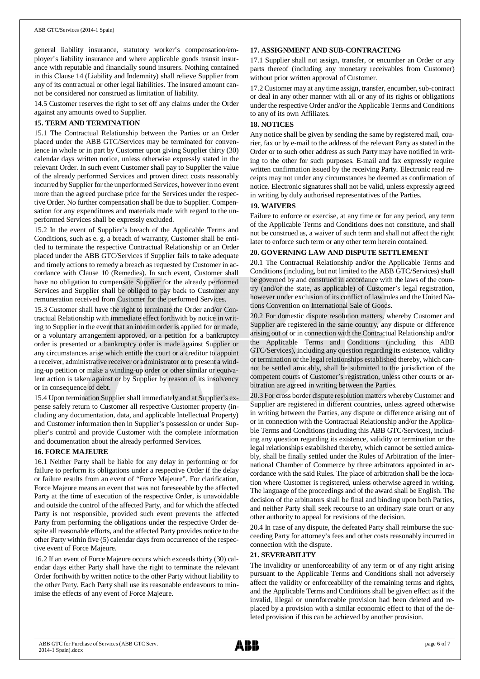general liability insurance, statutory worker's compensation/employer's liability insurance and where applicable goods transit insurance with reputable and financially sound insurers. Nothing contained in this Clause 14 (Liability and Indemnity) shall relieve Supplier from any of its contractual or other legal liabilities. The insured amount cannot be considered nor construed as limitation of liability.

14.5 Customer reserves the right to set off any claims under the Order against any amounts owed to Supplier.

## **15. TERM AND TERMINATION**

15.1 The Contractual Relationship between the Parties or an Order placed under the ABB GTC/Services may be terminated for convenience in whole or in part by Customer upon giving Supplier thirty (30) calendar days written notice, unless otherwise expressly stated in the relevant Order. In such event Customer shall pay to Supplier the value of the already performed Services and proven direct costs reasonably incurred by Supplier for the unperformed Services, however in no event more than the agreed purchase price for the Services under the respective Order. No further compensation shall be due to Supplier. Compensation for any expenditures and materials made with regard to the unperformed Services shall be expressly excluded.

15.2 In the event of Supplier's breach of the Applicable Terms and Conditions, such as e. g. a breach of warranty, Customer shall be entitled to terminate the respective Contractual Relationship or an Order placed under the ABB GTC/Services if Supplier fails to take adequate and timely actions to remedy a breach as requested by Customer in accordance with Clause 10 (Remedies). In such event, Customer shall have no obligation to compensate Supplier for the already performed Services and Supplier shall be obliged to pay back to Customer any remuneration received from Customer for the performed Services.

15.3 Customer shall have the right to terminate the Order and/or Contractual Relationship with immediate effect forthwith by notice in writing to Supplier in the event that an interim order is applied for or made, or a voluntary arrangement approved, or a petition for a bankruptcy order is presented or a bankruptcy order is made against Supplier or any circumstances arise which entitle the court or a creditor to appoint a receiver, administrative receiver or administrator or to present a winding-up petition or make a winding-up order or other similar or equivalent action is taken against or by Supplier by reason of its insolvency or in consequence of debt.

15.4 Upon termination Supplier shall immediately and at Supplier's expense safely return to Customer all respective Customer property (including any documentation, data, and applicable Intellectual Property) and Customer information then in Supplier's possession or under Supplier's control and provide Customer with the complete information and documentation about the already performed Services.

#### **16. FORCE MAJEURE**

16.1 Neither Party shall be liable for any delay in performing or for failure to perform its obligations under a respective Order if the delay or failure results from an event of "Force Majeure". For clarification, Force Majeure means an event that was not foreseeable by the affected Party at the time of execution of the respective Order, is unavoidable and outside the control of the affected Party, and for which the affected Party is not responsible, provided such event prevents the affected Party from performing the obligations under the respective Order despite all reasonable efforts, and the affected Party provides notice to the other Party within five (5) calendar days from occurrence of the respective event of Force Majeure.

16.2 If an event of Force Majeure occurs which exceeds thirty (30) calendar days either Party shall have the right to terminate the relevant Order forthwith by written notice to the other Party without liability to the other Party. Each Party shall use its reasonable endeavours to minimise the effects of any event of Force Majeure.

## **17. ASSIGNMENT AND SUB-CONTRACTING**

17.1 Supplier shall not assign, transfer, or encumber an Order or any parts thereof (including any monetary receivables from Customer) without prior written approval of Customer.

17.2 Customer may at any time assign, transfer, encumber, sub-contract or deal in any other manner with all or any of its rights or obligations under the respective Order and/or the Applicable Terms and Conditions to any of its own Affiliates.

## **18. NOTICES**

Any notice shall be given by sending the same by registered mail, courier, fax or by e-mail to the address of the relevant Party as stated in the Order or to such other address as such Party may have notified in writing to the other for such purposes. E-mail and fax expressly require written confirmation issued by the receiving Party. Electronic read receipts may not under any circumstances be deemed as confirmation of notice. Electronic signatures shall not be valid, unless expressly agreed in writing by duly authorised representatives of the Parties.

#### **19. WAIVERS**

Failure to enforce or exercise, at any time or for any period, any term of the Applicable Terms and Conditions does not constitute, and shall not be construed as, a waiver of such term and shall not affect the right later to enforce such term or any other term herein contained.

#### **20. GOVERNING LAW AND DISPUTE SETTLEMENT**

20.1 The Contractual Relationship and/or the Applicable Terms and Conditions (including, but not limited to the ABB GTC/Services) shall be governed by and construed in accordance with the laws of the country (and/or the state, as applicable) of Customer's legal registration, however under exclusion of its conflict of law rules and the United Nations Convention on International Sale of Goods.

20.2 For domestic dispute resolution matters, whereby Customer and Supplier are registered in the same country, any dispute or difference arising out of or in connection with the Contractual Relationship and/or the Applicable Terms and Conditions (including this ABB GTC/Services), including any question regarding its existence, validity or termination or the legal relationships established thereby, which cannot be settled amicably, shall be submitted to the jurisdiction of the competent courts of Customer's registration, unless other courts or arbitration are agreed in writing between the Parties.

20.3 For cross border dispute resolution matters whereby Customer and Supplier are registered in different countries, unless agreed otherwise in writing between the Parties, any dispute or difference arising out of or in connection with the Contractual Relationship and/or the Applicable Terms and Conditions (including this ABB GTC/Services), including any question regarding its existence, validity or termination or the legal relationships established thereby, which cannot be settled amicably, shall be finally settled under the Rules of Arbitration of the International Chamber of Commerce by three arbitrators appointed in accordance with the said Rules. The place of arbitration shall be the location where Customer is registered, unless otherwise agreed in writing. The language of the proceedings and of the award shall be English. The decision of the arbitrators shall be final and binding upon both Parties, and neither Party shall seek recourse to an ordinary state court or any other authority to appeal for revisions of the decision.

20.4 In case of any dispute, the defeated Party shall reimburse the succeeding Party for attorney's fees and other costs reasonably incurred in connection with the dispute.

## **21. SEVERABILITY**

The invalidity or unenforceability of any term or of any right arising pursuant to the Applicable Terms and Conditions shall not adversely affect the validity or enforceability of the remaining terms and rights, and the Applicable Terms and Conditions shall be given effect as if the invalid, illegal or unenforceable provision had been deleted and replaced by a provision with a similar economic effect to that of the deleted provision if this can be achieved by another provision.